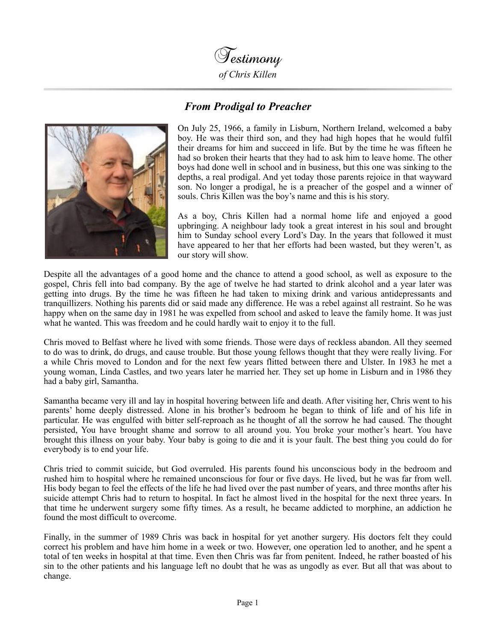

## *From Prodigal to Preacher*



On July 25, 1966, a family in Lisburn, Northern Ireland, welcomed a baby boy. He was their third son, and they had high hopes that he would fulfil their dreams for him and succeed in life. But by the time he was fifteen he had so broken their hearts that they had to ask him to leave home. The other boys had done well in school and in business, but this one was sinking to the depths, a real prodigal. And yet today those parents rejoice in that wayward son. No longer a prodigal, he is a preacher of the gospel and a winner of souls. Chris Killen was the boy's name and this is his story.

As a boy, Chris Killen had a normal home life and enjoyed a good upbringing. A neighbour lady took a great interest in his soul and brought him to Sunday school every Lord's Day. In the years that followed it must have appeared to her that her efforts had been wasted, but they weren't, as our story will show.

Despite all the advantages of a good home and the chance to attend a good school, as well as exposure to the gospel, Chris fell into bad company. By the age of twelve he had started to drink alcohol and a year later was getting into drugs. By the time he was fifteen he had taken to mixing drink and various antidepressants and tranquillizers. Nothing his parents did or said made any difference. He was a rebel against all restraint. So he was happy when on the same day in 1981 he was expelled from school and asked to leave the family home. It was just what he wanted. This was freedom and he could hardly wait to enjoy it to the full.

Chris moved to Belfast where he lived with some friends. Those were days of reckless abandon. All they seemed to do was to drink, do drugs, and cause trouble. But those young fellows thought that they were really living. For a while Chris moved to London and for the next few years flitted between there and Ulster. In 1983 he met a young woman, Linda Castles, and two years later he married her. They set up home in Lisburn and in 1986 they had a baby girl, Samantha.

Samantha became very ill and lay in hospital hovering between life and death. After visiting her, Chris went to his parents' home deeply distressed. Alone in his brother's bedroom he began to think of life and of his life in particular. He was engulfed with bitter self-reproach as he thought of all the sorrow he had caused. The thought persisted, You have brought shame and sorrow to all around you. You broke your mother's heart. You have brought this illness on your baby. Your baby is going to die and it is your fault. The best thing you could do for everybody is to end your life.

Chris tried to commit suicide, but God overruled. His parents found his unconscious body in the bedroom and rushed him to hospital where he remained unconscious for four or five days. He lived, but he was far from well. His body began to feel the effects of the life he had lived over the past number of years, and three months after his suicide attempt Chris had to return to hospital. In fact he almost lived in the hospital for the next three years. In that time he underwent surgery some fifty times. As a result, he became addicted to morphine, an addiction he found the most difficult to overcome.

Finally, in the summer of 1989 Chris was back in hospital for yet another surgery. His doctors felt they could correct his problem and have him home in a week or two. However, one operation led to another, and he spent a total of ten weeks in hospital at that time. Even then Chris was far from penitent. Indeed, he rather boasted of his sin to the other patients and his language left no doubt that he was as ungodly as ever. But all that was about to change.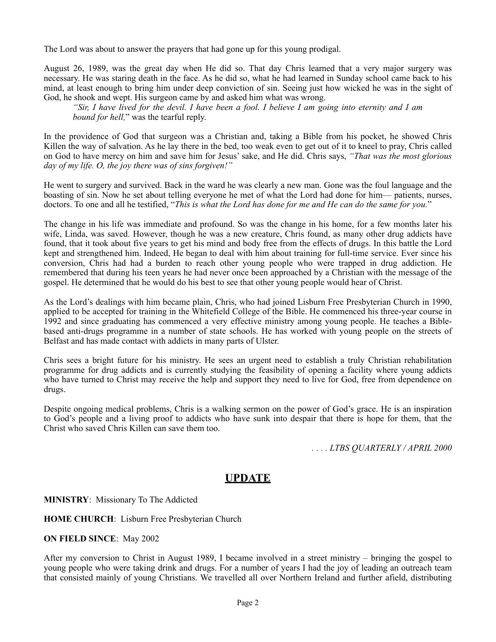The Lord was about to answer the prayers that had gone up for this young prodigal.

August 26, 1989, was the great day when He did so. That day Chris learned that a very major surgery was necessary. He was staring death in the face. As he did so, what he had learned in Sunday school came back to his mind, at least enough to bring him under deep conviction of sin. Seeing just how wicked he was in the sight of God, he shook and wept. His surgeon came by and asked him what was wrong.

*"Sir, I have lived for the devil. I have been a fool. I believe I am going into eternity and I am bound for hell,*" was the tearful reply.

In the providence of God that surgeon was a Christian and, taking a Bible from his pocket, he showed Chris Killen the way of salvation. As he lay there in the bed, too weak even to get out of it to kneel to pray, Chris called on God to have mercy on him and save him for Jesus' sake, and He did. Chris says, *"That was the most glorious day of my life. O, the joy there was of sins forgiven!"*

He went to surgery and survived. Back in the ward he was clearly a new man. Gone was the foul language and the boasting of sin. Now he set about telling everyone he met of what the Lord had done for him— patients, nurses, doctors. To one and all he testified, "*This is what the Lord has done for me and He can do the same for you.*"

The change in his life was immediate and profound. So was the change in his home, for a few months later his wife, Linda, was saved. However, though he was a new creature, Chris found, as many other drug addicts have found, that it took about five years to get his mind and body free from the effects of drugs. In this battle the Lord kept and strengthened him. Indeed, He began to deal with him about training for full-time service. Ever since his conversion, Chris had had a burden to reach other young people who were trapped in drug addiction. He remembered that during his teen years he had never once been approached by a Christian with the message of the gospel. He determined that he would do his best to see that other young people would hear of Christ.

As the Lord's dealings with him became plain, Chris, who had joined Lisburn Free Presbyterian Church in 1990, applied to be accepted for training in the Whitefield College of the Bible. He commenced his three-year course in 1992 and since graduating has commenced a very effective ministry among young people. He teaches a Biblebased anti-drugs programme in a number of state schools. He has worked with young people on the streets of Belfast and has made contact with addicts in many parts of Ulster.

Chris sees a bright future for his ministry. He sees an urgent need to establish a truly Christian rehabilitation programme for drug addicts and is currently studying the feasibility of opening a facility where young addicts who have turned to Christ may receive the help and support they need to live for God, free from dependence on drugs.

Despite ongoing medical problems, Chris is a walking sermon on the power of God's grace. He is an inspiration to God's people and a living proof to addicts who have sunk into despair that there is hope for them, that the Christ who saved Chris Killen can save them too.

*. . . . LTBS QUARTERLY / APRIL 2000* 

## **UPDATE**

**MINISTRY**: Missionary To The Addicted

**HOME CHURCH**: Lisburn Free Presbyterian Church

**ON FIELD SINCE**: May 2002

After my conversion to Christ in August 1989, I became involved in a street ministry – bringing the gospel to young people who were taking drink and drugs. For a number of years I had the joy of leading an outreach team that consisted mainly of young Christians. We travelled all over Northern Ireland and further afield, distributing